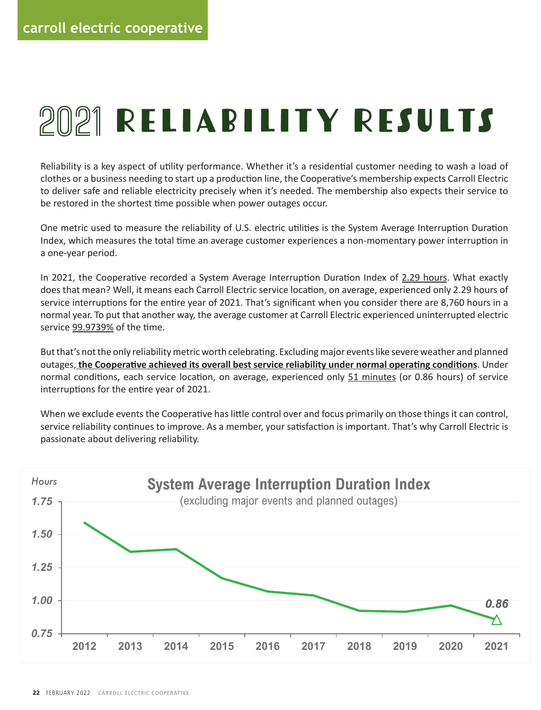# 2021 RELIABILITY RESULTS

Reliability is a key aspect of utility performance. Whether it's a residential customer needing to wash a load of clothes or a business needing to start up a production line, the Cooperative's membership expects Carroll Electric to deliver safe and reliable electricity precisely when it's needed. The membership also expects their service to be restored in the shortest time possible when power outages occur.

One metric used to measure the reliability of U.S. electric utilities is the System Average Interruption Duration Index, which measures the total time an average customer experiences a non-momentary power interruption in a one-year period. In 2021, the Cooperative recorded and System Average Internet Inperioneed a New Hours. What when approximately<br>a one-vear period.

In 2021, the Cooperative recorded a System Average Interruption Duration Index of 2.29 hours. What exactly literations for the entire significant when the entire significant when you considered the 8,700 hours of does that mean? Well, it means each Carroll Electric service location, on average, experienced only 2.29 hours of service interruptions for the entire year of 2021. That's significant when you consider there are 8,760 hours in a normal year. To put that another way, the average customer at Carroll Electric experienced uninterrupted electric service 99.9739% of the time.

But that's not the only reliability metric worth celebrating. Excluding major events like severe weather and planned But that shot the only reliability metric worth celebrating. Excluding major events like severe weather and planned<br>outages<u>, the Cooperative achieved its overall best service reliability under normal operating conditions</u> normal conditions, each service location, on average, experienced only 51 minutes (or 0.86 hours) of service interruptions for the entire year of 2021. interruptions for the entire year of 2021.

When we exclude events the Cooperative has little control over and focus primarily on those things it can control, service reliability continues to improve. As a member, your satisfaction is important. That's why Carroll Electric is<br>Passionate about delivering reliability passionate about delivering reliability. passionate about delivering reliability.